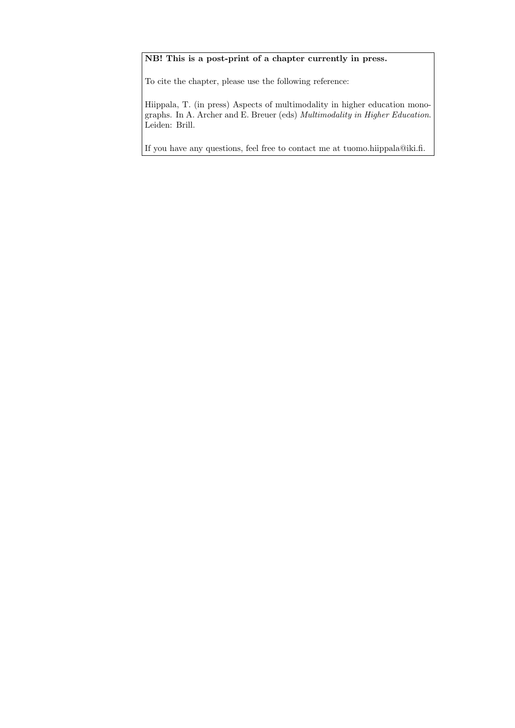#### NB! This is a post-print of a chapter currently in press.

To cite the chapter, please use the following reference:

Hiippala, T. (in press) Aspects of multimodality in higher education monographs. In A. Archer and E. Breuer (eds) Multimodality in Higher Education. Leiden: Brill.

If you have any questions, feel free to contact me at tuomo.hiippala@iki.fi.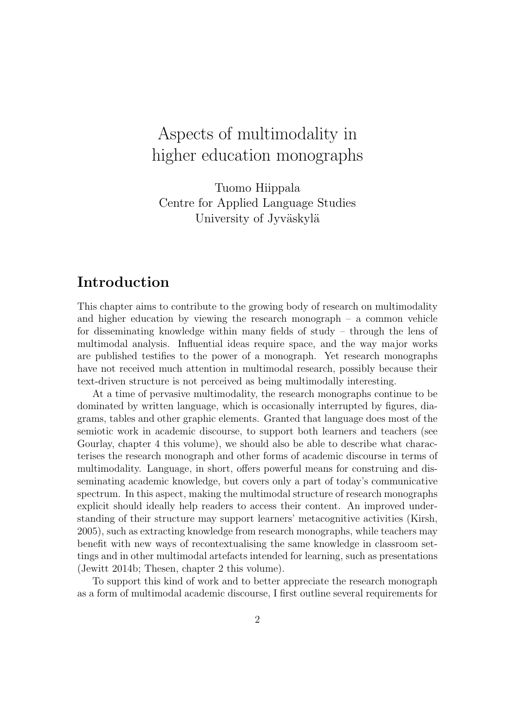# Aspects of multimodality in higher education monographs

Tuomo Hiippala Centre for Applied Language Studies University of Jyväskylä

# Introduction

This chapter aims to contribute to the growing body of research on multimodality and higher education by viewing the research monograph – a common vehicle for disseminating knowledge within many fields of study – through the lens of multimodal analysis. Influential ideas require space, and the way major works are published testifies to the power of a monograph. Yet research monographs have not received much attention in multimodal research, possibly because their text-driven structure is not perceived as being multimodally interesting.

At a time of pervasive multimodality, the research monographs continue to be dominated by written language, which is occasionally interrupted by figures, diagrams, tables and other graphic elements. Granted that language does most of the semiotic work in academic discourse, to support both learners and teachers (see Gourlay, chapter 4 this volume), we should also be able to describe what characterises the research monograph and other forms of academic discourse in terms of multimodality. Language, in short, offers powerful means for construing and disseminating academic knowledge, but covers only a part of today's communicative spectrum. In this aspect, making the multimodal structure of research monographs explicit should ideally help readers to access their content. An improved understanding of their structure may support learners' metacognitive activities (Kirsh, 2005), such as extracting knowledge from research monographs, while teachers may benefit with new ways of recontextualising the same knowledge in classroom settings and in other multimodal artefacts intended for learning, such as presentations (Jewitt 2014b; Thesen, chapter 2 this volume).

To support this kind of work and to better appreciate the research monograph as a form of multimodal academic discourse, I first outline several requirements for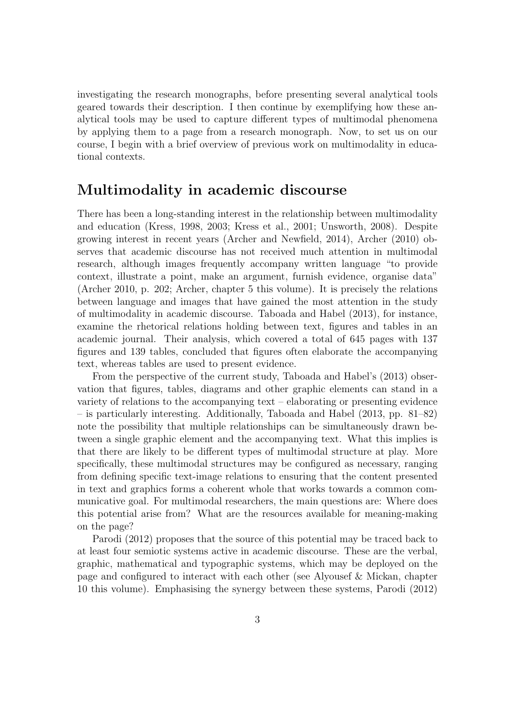investigating the research monographs, before presenting several analytical tools geared towards their description. I then continue by exemplifying how these analytical tools may be used to capture different types of multimodal phenomena by applying them to a page from a research monograph. Now, to set us on our course, I begin with a brief overview of previous work on multimodality in educational contexts.

#### Multimodality in academic discourse

There has been a long-standing interest in the relationship between multimodality and education (Kress, 1998, 2003; Kress et al., 2001; Unsworth, 2008). Despite growing interest in recent years (Archer and Newfield, 2014), Archer (2010) observes that academic discourse has not received much attention in multimodal research, although images frequently accompany written language "to provide context, illustrate a point, make an argument, furnish evidence, organise data" (Archer 2010, p. 202; Archer, chapter 5 this volume). It is precisely the relations between language and images that have gained the most attention in the study of multimodality in academic discourse. Taboada and Habel (2013), for instance, examine the rhetorical relations holding between text, figures and tables in an academic journal. Their analysis, which covered a total of 645 pages with 137 figures and 139 tables, concluded that figures often elaborate the accompanying text, whereas tables are used to present evidence.

From the perspective of the current study, Taboada and Habel's (2013) observation that figures, tables, diagrams and other graphic elements can stand in a variety of relations to the accompanying text – elaborating or presenting evidence – is particularly interesting. Additionally, Taboada and Habel (2013, pp. 81–82) note the possibility that multiple relationships can be simultaneously drawn between a single graphic element and the accompanying text. What this implies is that there are likely to be different types of multimodal structure at play. More specifically, these multimodal structures may be configured as necessary, ranging from defining specific text-image relations to ensuring that the content presented in text and graphics forms a coherent whole that works towards a common communicative goal. For multimodal researchers, the main questions are: Where does this potential arise from? What are the resources available for meaning-making on the page?

Parodi (2012) proposes that the source of this potential may be traced back to at least four semiotic systems active in academic discourse. These are the verbal, graphic, mathematical and typographic systems, which may be deployed on the page and configured to interact with each other (see Alyousef & Mickan, chapter 10 this volume). Emphasising the synergy between these systems, Parodi (2012)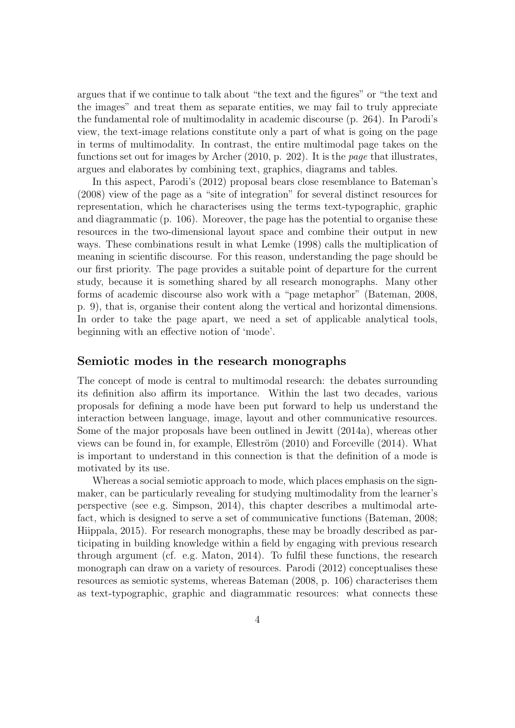argues that if we continue to talk about "the text and the figures" or "the text and the images" and treat them as separate entities, we may fail to truly appreciate the fundamental role of multimodality in academic discourse (p. 264). In Parodi's view, the text-image relations constitute only a part of what is going on the page in terms of multimodality. In contrast, the entire multimodal page takes on the functions set out for images by Archer (2010, p. 202). It is the page that illustrates, argues and elaborates by combining text, graphics, diagrams and tables.

In this aspect, Parodi's (2012) proposal bears close resemblance to Bateman's (2008) view of the page as a "site of integration" for several distinct resources for representation, which he characterises using the terms text-typographic, graphic and diagrammatic (p. 106). Moreover, the page has the potential to organise these resources in the two-dimensional layout space and combine their output in new ways. These combinations result in what Lemke (1998) calls the multiplication of meaning in scientific discourse. For this reason, understanding the page should be our first priority. The page provides a suitable point of departure for the current study, because it is something shared by all research monographs. Many other forms of academic discourse also work with a "page metaphor" (Bateman, 2008, p. 9), that is, organise their content along the vertical and horizontal dimensions. In order to take the page apart, we need a set of applicable analytical tools, beginning with an effective notion of 'mode'.

#### Semiotic modes in the research monographs

The concept of mode is central to multimodal research: the debates surrounding its definition also affirm its importance. Within the last two decades, various proposals for defining a mode have been put forward to help us understand the interaction between language, image, layout and other communicative resources. Some of the major proposals have been outlined in Jewitt (2014a), whereas other views can be found in, for example, Elleström  $(2010)$  and Forceville  $(2014)$ . What is important to understand in this connection is that the definition of a mode is motivated by its use.

Whereas a social semiotic approach to mode, which places emphasis on the signmaker, can be particularly revealing for studying multimodality from the learner's perspective (see e.g. Simpson, 2014), this chapter describes a multimodal artefact, which is designed to serve a set of communicative functions (Bateman, 2008; Hiippala, 2015). For research monographs, these may be broadly described as participating in building knowledge within a field by engaging with previous research through argument (cf. e.g. Maton, 2014). To fulfil these functions, the research monograph can draw on a variety of resources. Parodi (2012) conceptualises these resources as semiotic systems, whereas Bateman (2008, p. 106) characterises them as text-typographic, graphic and diagrammatic resources: what connects these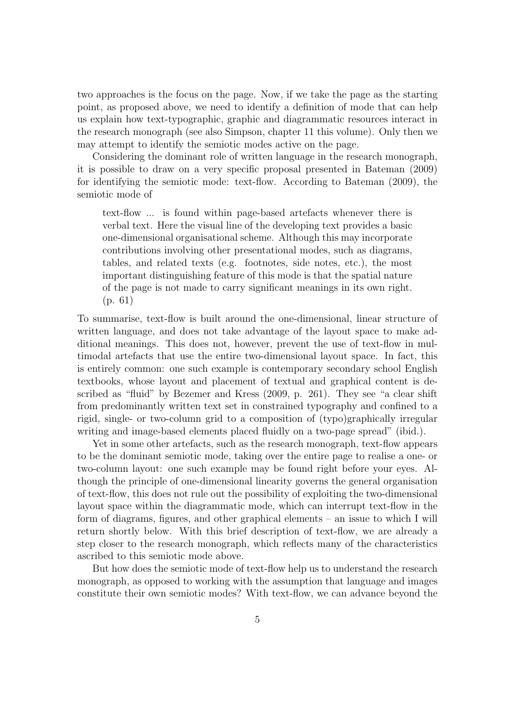two approaches is the focus on the page. Now, if we take the page as the starting point, as proposed above, we need to identify a definition of mode that can help us explain how text-typographic, graphic and diagrammatic resources interact in the research monograph (see also Simpson, chapter 11 this volume). Only then we may attempt to identify the semiotic modes active on the page.

Considering the dominant role of written language in the research monograph, it is possible to draw on a very specific proposal presented in Bateman (2009) for identifying the semiotic mode: text-flow. According to Bateman (2009), the semiotic mode of

text-flow ... is found within page-based artefacts whenever there is verbal text. Here the visual line of the developing text provides a basic one-dimensional organisational scheme. Although this may incorporate contributions involving other presentational modes, such as diagrams, tables, and related texts (e.g. footnotes, side notes, etc.), the most important distinguishing feature of this mode is that the spatial nature of the page is not made to carry significant meanings in its own right. (p. 61)

To summarise, text-flow is built around the one-dimensional, linear structure of written language, and does not take advantage of the layout space to make additional meanings. This does not, however, prevent the use of text-flow in multimodal artefacts that use the entire two-dimensional layout space. In fact, this is entirely common: one such example is contemporary secondary school English textbooks, whose layout and placement of textual and graphical content is described as "fluid" by Bezemer and Kress (2009, p. 261). They see "a clear shift from predominantly written text set in constrained typography and confined to a rigid, single- or two-column grid to a composition of (typo)graphically irregular writing and image-based elements placed fluidly on a two-page spread" (ibid.).

Yet in some other artefacts, such as the research monograph, text-flow appears to be the dominant semiotic mode, taking over the entire page to realise a one- or two-column layout: one such example may be found right before your eyes. Although the principle of one-dimensional linearity governs the general organisation of text-flow, this does not rule out the possibility of exploiting the two-dimensional layout space within the diagrammatic mode, which can interrupt text-flow in the form of diagrams, figures, and other graphical elements – an issue to which I will return shortly below. With this brief description of text-flow, we are already a step closer to the research monograph, which reflects many of the characteristics ascribed to this semiotic mode above.

But how does the semiotic mode of text-flow help us to understand the research monograph, as opposed to working with the assumption that language and images constitute their own semiotic modes? With text-flow, we can advance beyond the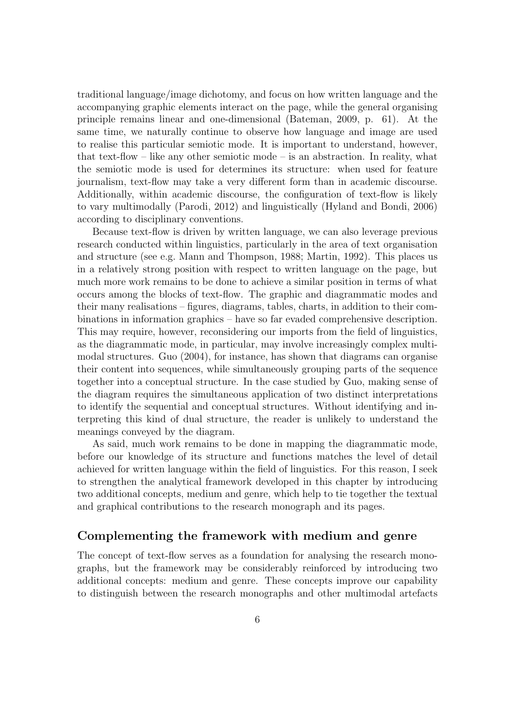traditional language/image dichotomy, and focus on how written language and the accompanying graphic elements interact on the page, while the general organising principle remains linear and one-dimensional (Bateman, 2009, p. 61). At the same time, we naturally continue to observe how language and image are used to realise this particular semiotic mode. It is important to understand, however, that text-flow – like any other semiotic mode – is an abstraction. In reality, what the semiotic mode is used for determines its structure: when used for feature journalism, text-flow may take a very different form than in academic discourse. Additionally, within academic discourse, the configuration of text-flow is likely to vary multimodally (Parodi, 2012) and linguistically (Hyland and Bondi, 2006) according to disciplinary conventions.

Because text-flow is driven by written language, we can also leverage previous research conducted within linguistics, particularly in the area of text organisation and structure (see e.g. Mann and Thompson, 1988; Martin, 1992). This places us in a relatively strong position with respect to written language on the page, but much more work remains to be done to achieve a similar position in terms of what occurs among the blocks of text-flow. The graphic and diagrammatic modes and their many realisations – figures, diagrams, tables, charts, in addition to their combinations in information graphics – have so far evaded comprehensive description. This may require, however, reconsidering our imports from the field of linguistics, as the diagrammatic mode, in particular, may involve increasingly complex multimodal structures. Guo (2004), for instance, has shown that diagrams can organise their content into sequences, while simultaneously grouping parts of the sequence together into a conceptual structure. In the case studied by Guo, making sense of the diagram requires the simultaneous application of two distinct interpretations to identify the sequential and conceptual structures. Without identifying and interpreting this kind of dual structure, the reader is unlikely to understand the meanings conveyed by the diagram.

As said, much work remains to be done in mapping the diagrammatic mode, before our knowledge of its structure and functions matches the level of detail achieved for written language within the field of linguistics. For this reason, I seek to strengthen the analytical framework developed in this chapter by introducing two additional concepts, medium and genre, which help to tie together the textual and graphical contributions to the research monograph and its pages.

#### Complementing the framework with medium and genre

The concept of text-flow serves as a foundation for analysing the research monographs, but the framework may be considerably reinforced by introducing two additional concepts: medium and genre. These concepts improve our capability to distinguish between the research monographs and other multimodal artefacts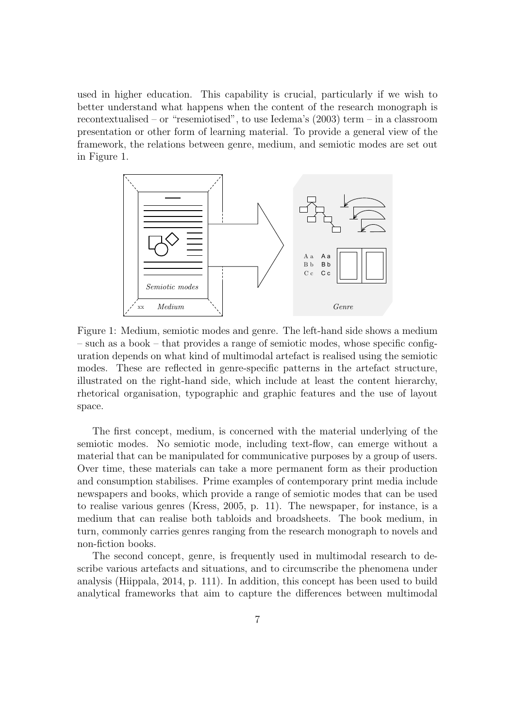used in higher education. This capability is crucial, particularly if we wish to better understand what happens when the content of the research monograph is recontextualised – or "resemiotised", to use Iedema's (2003) term – in a classroom presentation or other form of learning material. To provide a general view of the framework, the relations between genre, medium, and semiotic modes are set out in Figure 1.



Figure 1: Medium, semiotic modes and genre. The left-hand side shows a medium – such as a book – that provides a range of semiotic modes, whose specific configuration depends on what kind of multimodal artefact is realised using the semiotic modes. These are reflected in genre-specific patterns in the artefact structure, illustrated on the right-hand side, which include at least the content hierarchy, rhetorical organisation, typographic and graphic features and the use of layout space.

The first concept, medium, is concerned with the material underlying of the semiotic modes. No semiotic mode, including text-flow, can emerge without a material that can be manipulated for communicative purposes by a group of users. Over time, these materials can take a more permanent form as their production and consumption stabilises. Prime examples of contemporary print media include newspapers and books, which provide a range of semiotic modes that can be used to realise various genres (Kress, 2005, p. 11). The newspaper, for instance, is a medium that can realise both tabloids and broadsheets. The book medium, in turn, commonly carries genres ranging from the research monograph to novels and non-fiction books.

The second concept, genre, is frequently used in multimodal research to describe various artefacts and situations, and to circumscribe the phenomena under analysis (Hiippala, 2014, p. 111). In addition, this concept has been used to build analytical frameworks that aim to capture the differences between multimodal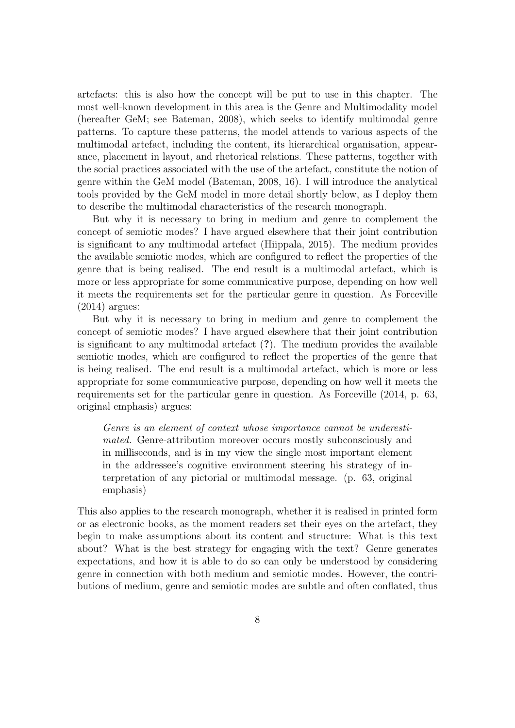artefacts: this is also how the concept will be put to use in this chapter. The most well-known development in this area is the Genre and Multimodality model (hereafter GeM; see Bateman, 2008), which seeks to identify multimodal genre patterns. To capture these patterns, the model attends to various aspects of the multimodal artefact, including the content, its hierarchical organisation, appearance, placement in layout, and rhetorical relations. These patterns, together with the social practices associated with the use of the artefact, constitute the notion of genre within the GeM model (Bateman, 2008, 16). I will introduce the analytical tools provided by the GeM model in more detail shortly below, as I deploy them to describe the multimodal characteristics of the research monograph.

But why it is necessary to bring in medium and genre to complement the concept of semiotic modes? I have argued elsewhere that their joint contribution is significant to any multimodal artefact (Hiippala, 2015). The medium provides the available semiotic modes, which are configured to reflect the properties of the genre that is being realised. The end result is a multimodal artefact, which is more or less appropriate for some communicative purpose, depending on how well it meets the requirements set for the particular genre in question. As Forceville (2014) argues:

But why it is necessary to bring in medium and genre to complement the concept of semiotic modes? I have argued elsewhere that their joint contribution is significant to any multimodal artefact (?). The medium provides the available semiotic modes, which are configured to reflect the properties of the genre that is being realised. The end result is a multimodal artefact, which is more or less appropriate for some communicative purpose, depending on how well it meets the requirements set for the particular genre in question. As Forceville (2014, p. 63, original emphasis) argues:

Genre is an element of context whose importance cannot be underestimated. Genre-attribution moreover occurs mostly subconsciously and in milliseconds, and is in my view the single most important element in the addressee's cognitive environment steering his strategy of interpretation of any pictorial or multimodal message. (p. 63, original emphasis)

This also applies to the research monograph, whether it is realised in printed form or as electronic books, as the moment readers set their eyes on the artefact, they begin to make assumptions about its content and structure: What is this text about? What is the best strategy for engaging with the text? Genre generates expectations, and how it is able to do so can only be understood by considering genre in connection with both medium and semiotic modes. However, the contributions of medium, genre and semiotic modes are subtle and often conflated, thus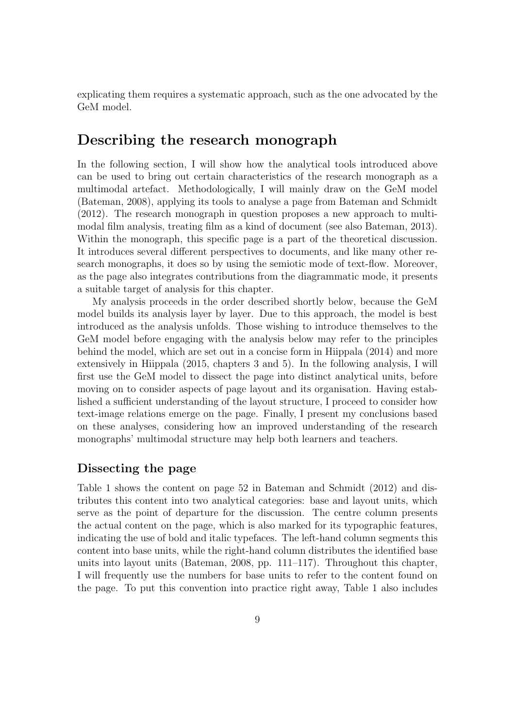explicating them requires a systematic approach, such as the one advocated by the GeM model.

### Describing the research monograph

In the following section, I will show how the analytical tools introduced above can be used to bring out certain characteristics of the research monograph as a multimodal artefact. Methodologically, I will mainly draw on the GeM model (Bateman, 2008), applying its tools to analyse a page from Bateman and Schmidt (2012). The research monograph in question proposes a new approach to multimodal film analysis, treating film as a kind of document (see also Bateman, 2013). Within the monograph, this specific page is a part of the theoretical discussion. It introduces several different perspectives to documents, and like many other research monographs, it does so by using the semiotic mode of text-flow. Moreover, as the page also integrates contributions from the diagrammatic mode, it presents a suitable target of analysis for this chapter.

My analysis proceeds in the order described shortly below, because the GeM model builds its analysis layer by layer. Due to this approach, the model is best introduced as the analysis unfolds. Those wishing to introduce themselves to the GeM model before engaging with the analysis below may refer to the principles behind the model, which are set out in a concise form in Hiippala (2014) and more extensively in Hiippala (2015, chapters 3 and 5). In the following analysis, I will first use the GeM model to dissect the page into distinct analytical units, before moving on to consider aspects of page layout and its organisation. Having established a sufficient understanding of the layout structure, I proceed to consider how text-image relations emerge on the page. Finally, I present my conclusions based on these analyses, considering how an improved understanding of the research monographs' multimodal structure may help both learners and teachers.

#### Dissecting the page

Table 1 shows the content on page 52 in Bateman and Schmidt (2012) and distributes this content into two analytical categories: base and layout units, which serve as the point of departure for the discussion. The centre column presents the actual content on the page, which is also marked for its typographic features, indicating the use of bold and italic typefaces. The left-hand column segments this content into base units, while the right-hand column distributes the identified base units into layout units (Bateman, 2008, pp. 111–117). Throughout this chapter, I will frequently use the numbers for base units to refer to the content found on the page. To put this convention into practice right away, Table 1 also includes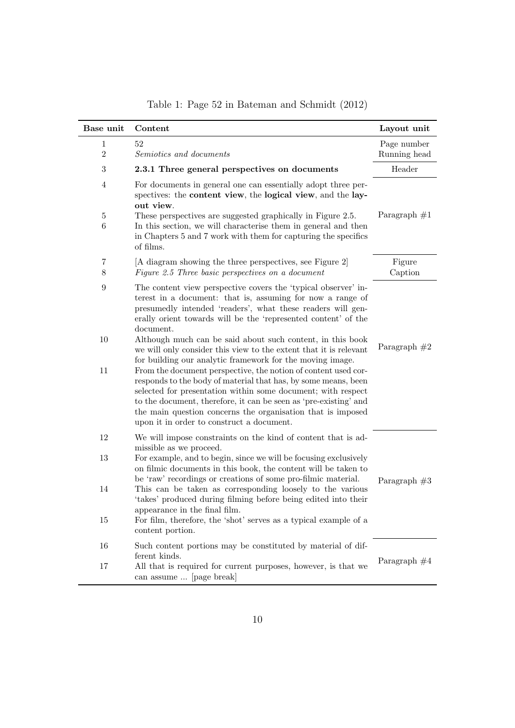| Base unit           | Content                                                                                                                                                                                                                                                                                                                                                                          | Layout unit                 |
|---------------------|----------------------------------------------------------------------------------------------------------------------------------------------------------------------------------------------------------------------------------------------------------------------------------------------------------------------------------------------------------------------------------|-----------------------------|
| 1<br>$\overline{2}$ | 52<br>Semiotics and documents                                                                                                                                                                                                                                                                                                                                                    | Page number<br>Running head |
| $\,3$               | 2.3.1 Three general perspectives on documents                                                                                                                                                                                                                                                                                                                                    | Header                      |
| $\overline{4}$      | For documents in general one can essentially adopt three per-<br>spectives: the <b>content view</b> , the <b>logical view</b> , and the <b>lay-</b><br>out view.                                                                                                                                                                                                                 |                             |
| 5<br>6              | These perspectives are suggested graphically in Figure 2.5.<br>In this section, we will characterise them in general and then<br>in Chapters 5 and 7 work with them for capturing the specifics<br>of films.                                                                                                                                                                     | Paragraph $#1$              |
| 7<br>8              | [A diagram showing the three perspectives, see Figure 2]<br>Figure 2.5 Three basic perspectives on a document                                                                                                                                                                                                                                                                    | Figure<br>Caption           |
| 9                   | The content view perspective covers the 'typical observer' in-<br>terest in a document: that is, assuming for now a range of<br>presumedly intended 'readers', what these readers will gen-<br>erally orient towards will be the 'represented content' of the<br>document.                                                                                                       |                             |
| 10                  | Although much can be said about such content, in this book<br>we will only consider this view to the extent that it is relevant<br>for building our analytic framework for the moving image.                                                                                                                                                                                     | Paragraph $#2$              |
| 11                  | From the document perspective, the notion of content used cor-<br>responds to the body of material that has, by some means, been<br>selected for presentation within some document; with respect<br>to the document, therefore, it can be seen as 'pre-existing' and<br>the main question concerns the organisation that is imposed<br>upon it in order to construct a document. |                             |
| 12                  | We will impose constraints on the kind of content that is ad-<br>missible as we proceed.                                                                                                                                                                                                                                                                                         |                             |
| 13                  | For example, and to begin, since we will be focusing exclusively<br>on filmic documents in this book, the content will be taken to<br>be 'raw' recordings or creations of some pro-filmic material.                                                                                                                                                                              | Paragraph $#3$              |
| 14                  | This can be taken as corresponding loosely to the various<br>'takes' produced during filming before being edited into their<br>appearance in the final film.                                                                                                                                                                                                                     |                             |
| 15                  | For film, therefore, the 'shot' serves as a typical example of a<br>content portion.                                                                                                                                                                                                                                                                                             |                             |
| 16                  | Such content portions may be constituted by material of dif-<br>ferent kinds.                                                                                                                                                                                                                                                                                                    | Paragraph $#4$              |
| 17                  | All that is required for current purposes, however, is that we<br>can assume  [page break]                                                                                                                                                                                                                                                                                       |                             |

Table 1: Page 52 in Bateman and Schmidt (2012)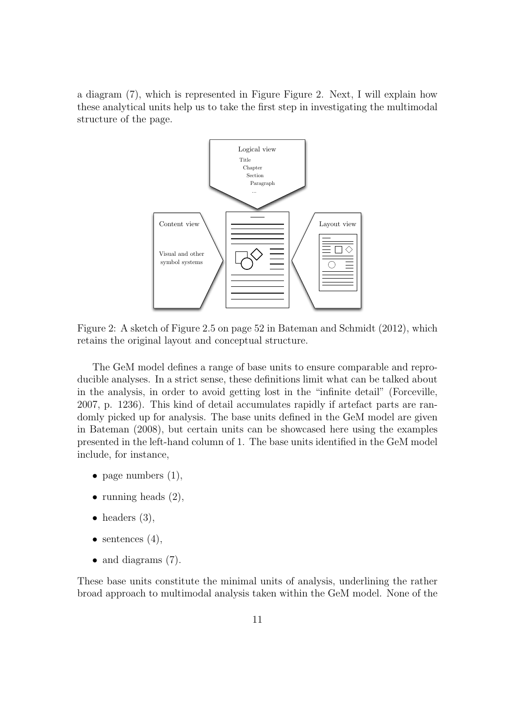a diagram (7), which is represented in Figure Figure 2. Next, I will explain how these analytical units help us to take the first step in investigating the multimodal structure of the page.



Figure 2: A sketch of Figure 2.5 on page 52 in Bateman and Schmidt (2012), which retains the original layout and conceptual structure.

The GeM model defines a range of base units to ensure comparable and reproducible analyses. In a strict sense, these definitions limit what can be talked about in the analysis, in order to avoid getting lost in the "infinite detail" (Forceville, 2007, p. 1236). This kind of detail accumulates rapidly if artefact parts are randomly picked up for analysis. The base units defined in the GeM model are given in Bateman (2008), but certain units can be showcased here using the examples presented in the left-hand column of 1. The base units identified in the GeM model include, for instance,

- page numbers  $(1)$ ,
- running heads  $(2)$ ,
- $\bullet$  headers  $(3)$ ,
- sentences  $(4)$ ,
- and diagrams  $(7)$ .

These base units constitute the minimal units of analysis, underlining the rather broad approach to multimodal analysis taken within the GeM model. None of the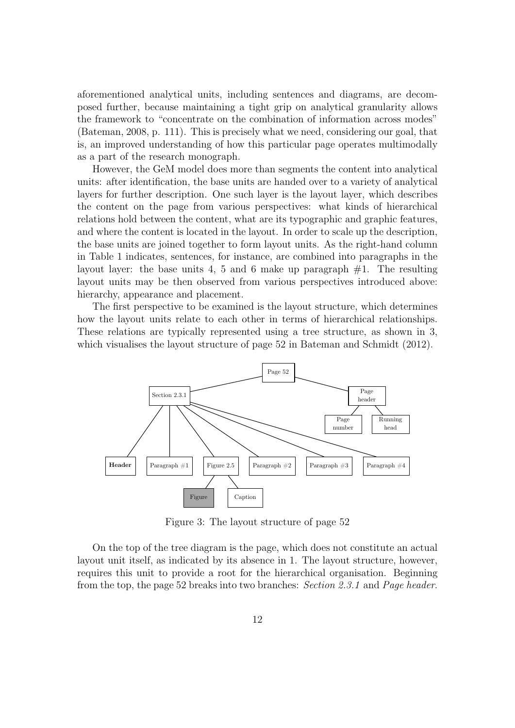aforementioned analytical units, including sentences and diagrams, are decomposed further, because maintaining a tight grip on analytical granularity allows the framework to "concentrate on the combination of information across modes" (Bateman, 2008, p. 111). This is precisely what we need, considering our goal, that is, an improved understanding of how this particular page operates multimodally as a part of the research monograph.

However, the GeM model does more than segments the content into analytical units: after identification, the base units are handed over to a variety of analytical layers for further description. One such layer is the layout layer, which describes the content on the page from various perspectives: what kinds of hierarchical relations hold between the content, what are its typographic and graphic features, and where the content is located in the layout. In order to scale up the description, the base units are joined together to form layout units. As the right-hand column in Table 1 indicates, sentences, for instance, are combined into paragraphs in the layout layer: the base units 4, 5 and 6 make up paragraph  $#1$ . The resulting layout units may be then observed from various perspectives introduced above: hierarchy, appearance and placement.

The first perspective to be examined is the layout structure, which determines how the layout units relate to each other in terms of hierarchical relationships. These relations are typically represented using a tree structure, as shown in 3, which visualises the layout structure of page 52 in Bateman and Schmidt (2012).



Figure 3: The layout structure of page 52

On the top of the tree diagram is the page, which does not constitute an actual layout unit itself, as indicated by its absence in 1. The layout structure, however, requires this unit to provide a root for the hierarchical organisation. Beginning from the top, the page 52 breaks into two branches: Section 2.3.1 and Page header.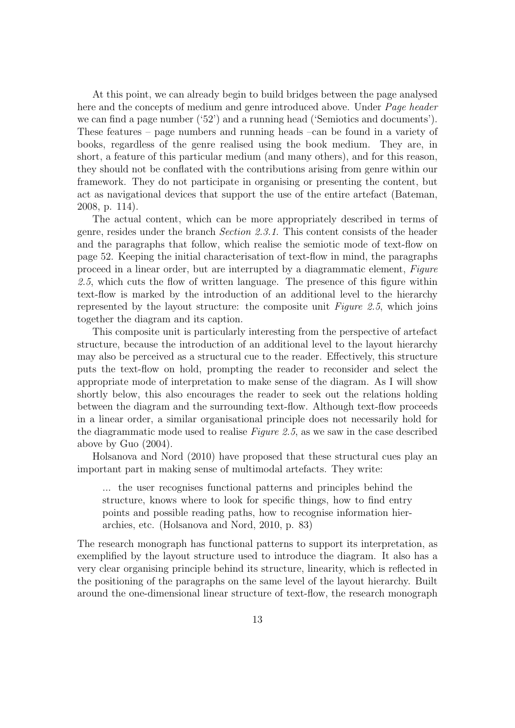At this point, we can already begin to build bridges between the page analysed here and the concepts of medium and genre introduced above. Under *Page header* we can find a page number ('52') and a running head ('Semiotics and documents'). These features – page numbers and running heads –can be found in a variety of books, regardless of the genre realised using the book medium. They are, in short, a feature of this particular medium (and many others), and for this reason, they should not be conflated with the contributions arising from genre within our framework. They do not participate in organising or presenting the content, but act as navigational devices that support the use of the entire artefact (Bateman, 2008, p. 114).

The actual content, which can be more appropriately described in terms of genre, resides under the branch Section 2.3.1. This content consists of the header and the paragraphs that follow, which realise the semiotic mode of text-flow on page 52. Keeping the initial characterisation of text-flow in mind, the paragraphs proceed in a linear order, but are interrupted by a diagrammatic element, Figure 2.5, which cuts the flow of written language. The presence of this figure within text-flow is marked by the introduction of an additional level to the hierarchy represented by the layout structure: the composite unit Figure 2.5, which joins together the diagram and its caption.

This composite unit is particularly interesting from the perspective of artefact structure, because the introduction of an additional level to the layout hierarchy may also be perceived as a structural cue to the reader. Effectively, this structure puts the text-flow on hold, prompting the reader to reconsider and select the appropriate mode of interpretation to make sense of the diagram. As I will show shortly below, this also encourages the reader to seek out the relations holding between the diagram and the surrounding text-flow. Although text-flow proceeds in a linear order, a similar organisational principle does not necessarily hold for the diagrammatic mode used to realise Figure 2.5, as we saw in the case described above by Guo (2004).

Holsanova and Nord (2010) have proposed that these structural cues play an important part in making sense of multimodal artefacts. They write:

... the user recognises functional patterns and principles behind the structure, knows where to look for specific things, how to find entry points and possible reading paths, how to recognise information hierarchies, etc. (Holsanova and Nord, 2010, p. 83)

The research monograph has functional patterns to support its interpretation, as exemplified by the layout structure used to introduce the diagram. It also has a very clear organising principle behind its structure, linearity, which is reflected in the positioning of the paragraphs on the same level of the layout hierarchy. Built around the one-dimensional linear structure of text-flow, the research monograph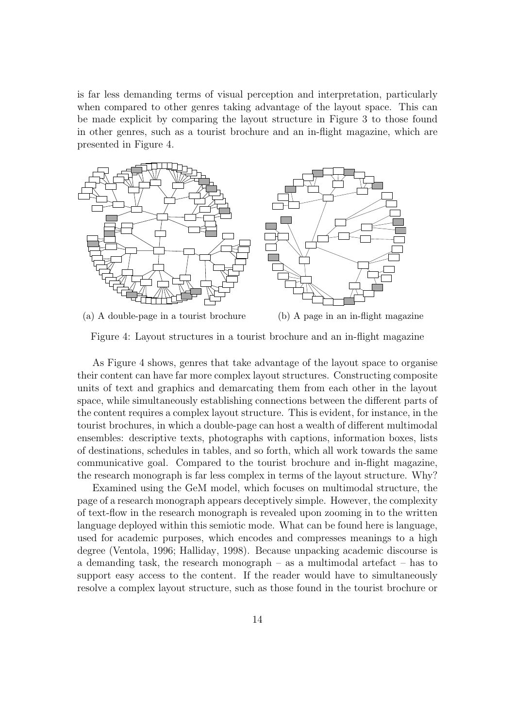is far less demanding terms of visual perception and interpretation, particularly when compared to other genres taking advantage of the layout space. This can be made explicit by comparing the layout structure in Figure 3 to those found in other genres, such as a tourist brochure and an in-flight magazine, which are presented in Figure 4.



Figure 4: Layout structures in a tourist brochure and an in-flight magazine

As Figure 4 shows, genres that take advantage of the layout space to organise their content can have far more complex layout structures. Constructing composite units of text and graphics and demarcating them from each other in the layout space, while simultaneously establishing connections between the different parts of the content requires a complex layout structure. This is evident, for instance, in the tourist brochures, in which a double-page can host a wealth of different multimodal ensembles: descriptive texts, photographs with captions, information boxes, lists of destinations, schedules in tables, and so forth, which all work towards the same communicative goal. Compared to the tourist brochure and in-flight magazine, the research monograph is far less complex in terms of the layout structure. Why?

Examined using the GeM model, which focuses on multimodal structure, the page of a research monograph appears deceptively simple. However, the complexity of text-flow in the research monograph is revealed upon zooming in to the written language deployed within this semiotic mode. What can be found here is language, used for academic purposes, which encodes and compresses meanings to a high degree (Ventola, 1996; Halliday, 1998). Because unpacking academic discourse is a demanding task, the research monograph – as a multimodal artefact – has to support easy access to the content. If the reader would have to simultaneously resolve a complex layout structure, such as those found in the tourist brochure or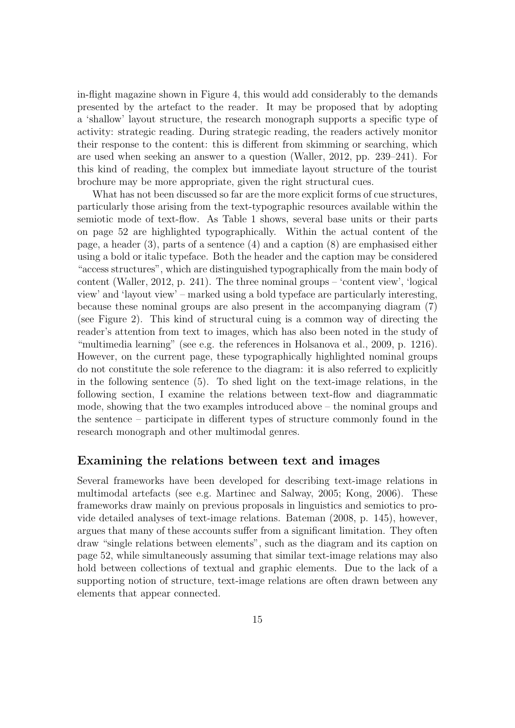in-flight magazine shown in Figure 4, this would add considerably to the demands presented by the artefact to the reader. It may be proposed that by adopting a 'shallow' layout structure, the research monograph supports a specific type of activity: strategic reading. During strategic reading, the readers actively monitor their response to the content: this is different from skimming or searching, which are used when seeking an answer to a question (Waller, 2012, pp. 239–241). For this kind of reading, the complex but immediate layout structure of the tourist brochure may be more appropriate, given the right structural cues.

What has not been discussed so far are the more explicit forms of cue structures, particularly those arising from the text-typographic resources available within the semiotic mode of text-flow. As Table 1 shows, several base units or their parts on page 52 are highlighted typographically. Within the actual content of the page, a header (3), parts of a sentence (4) and a caption (8) are emphasised either using a bold or italic typeface. Both the header and the caption may be considered "access structures", which are distinguished typographically from the main body of content (Waller, 2012, p. 241). The three nominal groups – 'content view', 'logical view' and 'layout view' – marked using a bold typeface are particularly interesting, because these nominal groups are also present in the accompanying diagram (7) (see Figure 2). This kind of structural cuing is a common way of directing the reader's attention from text to images, which has also been noted in the study of "multimedia learning" (see e.g. the references in Holsanova et al., 2009, p. 1216). However, on the current page, these typographically highlighted nominal groups do not constitute the sole reference to the diagram: it is also referred to explicitly in the following sentence (5). To shed light on the text-image relations, in the following section, I examine the relations between text-flow and diagrammatic mode, showing that the two examples introduced above – the nominal groups and the sentence – participate in different types of structure commonly found in the research monograph and other multimodal genres.

#### Examining the relations between text and images

Several frameworks have been developed for describing text-image relations in multimodal artefacts (see e.g. Martinec and Salway, 2005; Kong, 2006). These frameworks draw mainly on previous proposals in linguistics and semiotics to provide detailed analyses of text-image relations. Bateman (2008, p. 145), however, argues that many of these accounts suffer from a significant limitation. They often draw "single relations between elements", such as the diagram and its caption on page 52, while simultaneously assuming that similar text-image relations may also hold between collections of textual and graphic elements. Due to the lack of a supporting notion of structure, text-image relations are often drawn between any elements that appear connected.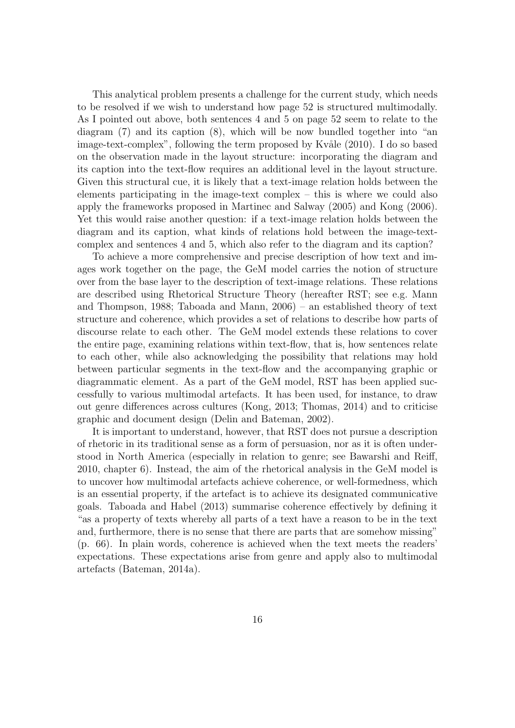This analytical problem presents a challenge for the current study, which needs to be resolved if we wish to understand how page 52 is structured multimodally. As I pointed out above, both sentences 4 and 5 on page 52 seem to relate to the diagram (7) and its caption (8), which will be now bundled together into "an image-text-complex", following the term proposed by Kvåle (2010). I do so based on the observation made in the layout structure: incorporating the diagram and its caption into the text-flow requires an additional level in the layout structure. Given this structural cue, it is likely that a text-image relation holds between the elements participating in the image-text complex – this is where we could also apply the frameworks proposed in Martinec and Salway (2005) and Kong (2006). Yet this would raise another question: if a text-image relation holds between the diagram and its caption, what kinds of relations hold between the image-textcomplex and sentences 4 and 5, which also refer to the diagram and its caption?

To achieve a more comprehensive and precise description of how text and images work together on the page, the GeM model carries the notion of structure over from the base layer to the description of text-image relations. These relations are described using Rhetorical Structure Theory (hereafter RST; see e.g. Mann and Thompson, 1988; Taboada and Mann, 2006) – an established theory of text structure and coherence, which provides a set of relations to describe how parts of discourse relate to each other. The GeM model extends these relations to cover the entire page, examining relations within text-flow, that is, how sentences relate to each other, while also acknowledging the possibility that relations may hold between particular segments in the text-flow and the accompanying graphic or diagrammatic element. As a part of the GeM model, RST has been applied successfully to various multimodal artefacts. It has been used, for instance, to draw out genre differences across cultures (Kong, 2013; Thomas, 2014) and to criticise graphic and document design (Delin and Bateman, 2002).

It is important to understand, however, that RST does not pursue a description of rhetoric in its traditional sense as a form of persuasion, nor as it is often understood in North America (especially in relation to genre; see Bawarshi and Reiff, 2010, chapter 6). Instead, the aim of the rhetorical analysis in the GeM model is to uncover how multimodal artefacts achieve coherence, or well-formedness, which is an essential property, if the artefact is to achieve its designated communicative goals. Taboada and Habel (2013) summarise coherence effectively by defining it "as a property of texts whereby all parts of a text have a reason to be in the text and, furthermore, there is no sense that there are parts that are somehow missing" (p. 66). In plain words, coherence is achieved when the text meets the readers' expectations. These expectations arise from genre and apply also to multimodal artefacts (Bateman, 2014a).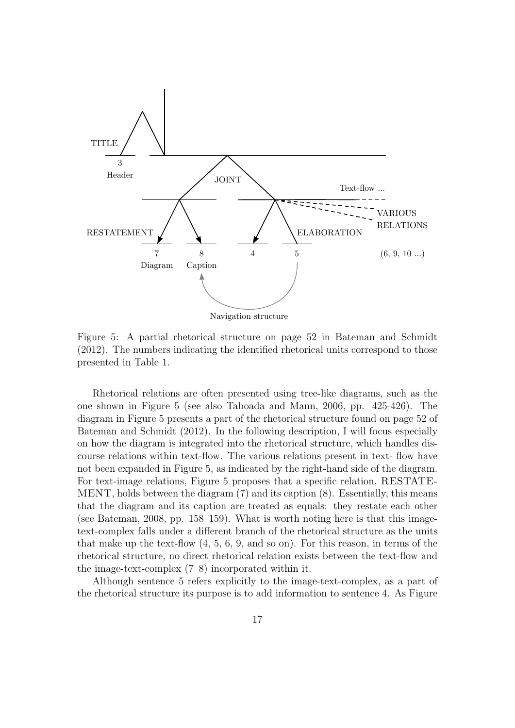

Figure 5: A partial rhetorical structure on page 52 in Bateman and Schmidt (2012). The numbers indicating the identified rhetorical units correspond to those presented in Table 1.

Rhetorical relations are often presented using tree-like diagrams, such as the one shown in Figure 5 (see also Taboada and Mann, 2006, pp. 425-426). The diagram in Figure 5 presents a part of the rhetorical structure found on page 52 of Bateman and Schmidt (2012). In the following description, I will focus especially on how the diagram is integrated into the rhetorical structure, which handles discourse relations within text-flow. The various relations present in text- flow have not been expanded in Figure 5, as indicated by the right-hand side of the diagram. For text-image relations, Figure 5 proposes that a specific relation, RESTATE-MENT, holds between the diagram (7) and its caption (8). Essentially, this means that the diagram and its caption are treated as equals: they restate each other (see Bateman, 2008, pp. 158–159). What is worth noting here is that this imagetext-complex falls under a different branch of the rhetorical structure as the units that make up the text-flow (4, 5, 6, 9, and so on). For this reason, in terms of the rhetorical structure, no direct rhetorical relation exists between the text-flow and the image-text-complex (7–8) incorporated within it.

Although sentence 5 refers explicitly to the image-text-complex, as a part of the rhetorical structure its purpose is to add information to sentence 4. As Figure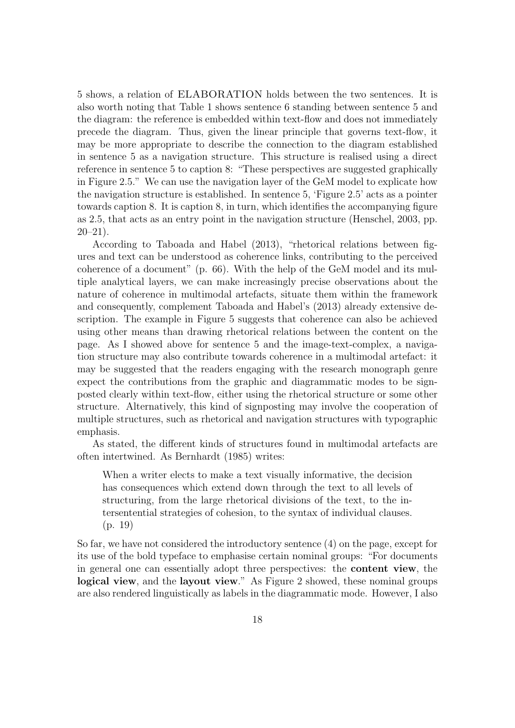5 shows, a relation of ELABORATION holds between the two sentences. It is also worth noting that Table 1 shows sentence 6 standing between sentence 5 and the diagram: the reference is embedded within text-flow and does not immediately precede the diagram. Thus, given the linear principle that governs text-flow, it may be more appropriate to describe the connection to the diagram established in sentence 5 as a navigation structure. This structure is realised using a direct reference in sentence 5 to caption 8: "These perspectives are suggested graphically in Figure 2.5." We can use the navigation layer of the GeM model to explicate how the navigation structure is established. In sentence 5, 'Figure 2.5' acts as a pointer towards caption 8. It is caption 8, in turn, which identifies the accompanying figure as 2.5, that acts as an entry point in the navigation structure (Henschel, 2003, pp.  $20-21$ ).

According to Taboada and Habel (2013), "rhetorical relations between figures and text can be understood as coherence links, contributing to the perceived coherence of a document" (p. 66). With the help of the GeM model and its multiple analytical layers, we can make increasingly precise observations about the nature of coherence in multimodal artefacts, situate them within the framework and consequently, complement Taboada and Habel's (2013) already extensive description. The example in Figure 5 suggests that coherence can also be achieved using other means than drawing rhetorical relations between the content on the page. As I showed above for sentence 5 and the image-text-complex, a navigation structure may also contribute towards coherence in a multimodal artefact: it may be suggested that the readers engaging with the research monograph genre expect the contributions from the graphic and diagrammatic modes to be signposted clearly within text-flow, either using the rhetorical structure or some other structure. Alternatively, this kind of signposting may involve the cooperation of multiple structures, such as rhetorical and navigation structures with typographic emphasis.

As stated, the different kinds of structures found in multimodal artefacts are often intertwined. As Bernhardt (1985) writes:

When a writer elects to make a text visually informative, the decision has consequences which extend down through the text to all levels of structuring, from the large rhetorical divisions of the text, to the intersentential strategies of cohesion, to the syntax of individual clauses. (p. 19)

So far, we have not considered the introductory sentence (4) on the page, except for its use of the bold typeface to emphasise certain nominal groups: "For documents in general one can essentially adopt three perspectives: the content view, the logical view, and the layout view." As Figure 2 showed, these nominal groups are also rendered linguistically as labels in the diagrammatic mode. However, I also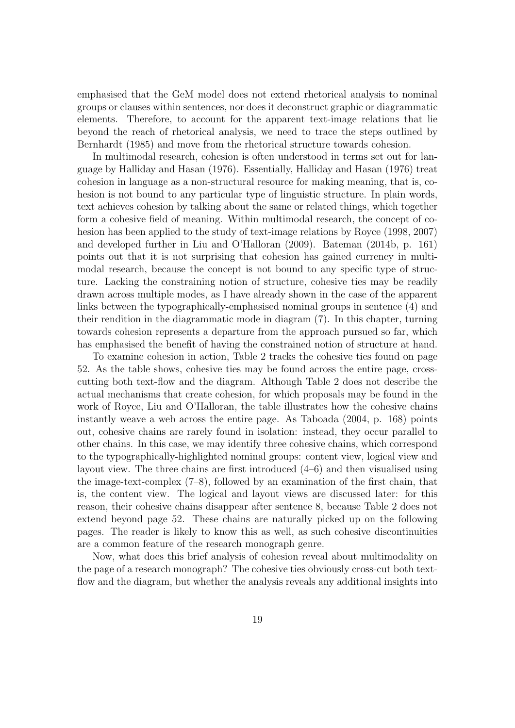emphasised that the GeM model does not extend rhetorical analysis to nominal groups or clauses within sentences, nor does it deconstruct graphic or diagrammatic elements. Therefore, to account for the apparent text-image relations that lie beyond the reach of rhetorical analysis, we need to trace the steps outlined by Bernhardt (1985) and move from the rhetorical structure towards cohesion.

In multimodal research, cohesion is often understood in terms set out for language by Halliday and Hasan (1976). Essentially, Halliday and Hasan (1976) treat cohesion in language as a non-structural resource for making meaning, that is, cohesion is not bound to any particular type of linguistic structure. In plain words, text achieves cohesion by talking about the same or related things, which together form a cohesive field of meaning. Within multimodal research, the concept of cohesion has been applied to the study of text-image relations by Royce (1998, 2007) and developed further in Liu and O'Halloran (2009). Bateman (2014b, p. 161) points out that it is not surprising that cohesion has gained currency in multimodal research, because the concept is not bound to any specific type of structure. Lacking the constraining notion of structure, cohesive ties may be readily drawn across multiple modes, as I have already shown in the case of the apparent links between the typographically-emphasised nominal groups in sentence (4) and their rendition in the diagrammatic mode in diagram (7). In this chapter, turning towards cohesion represents a departure from the approach pursued so far, which has emphasised the benefit of having the constrained notion of structure at hand.

To examine cohesion in action, Table 2 tracks the cohesive ties found on page 52. As the table shows, cohesive ties may be found across the entire page, crosscutting both text-flow and the diagram. Although Table 2 does not describe the actual mechanisms that create cohesion, for which proposals may be found in the work of Royce, Liu and O'Halloran, the table illustrates how the cohesive chains instantly weave a web across the entire page. As Taboada (2004, p. 168) points out, cohesive chains are rarely found in isolation: instead, they occur parallel to other chains. In this case, we may identify three cohesive chains, which correspond to the typographically-highlighted nominal groups: content view, logical view and layout view. The three chains are first introduced (4–6) and then visualised using the image-text-complex (7–8), followed by an examination of the first chain, that is, the content view. The logical and layout views are discussed later: for this reason, their cohesive chains disappear after sentence 8, because Table 2 does not extend beyond page 52. These chains are naturally picked up on the following pages. The reader is likely to know this as well, as such cohesive discontinuities are a common feature of the research monograph genre.

Now, what does this brief analysis of cohesion reveal about multimodality on the page of a research monograph? The cohesive ties obviously cross-cut both textflow and the diagram, but whether the analysis reveals any additional insights into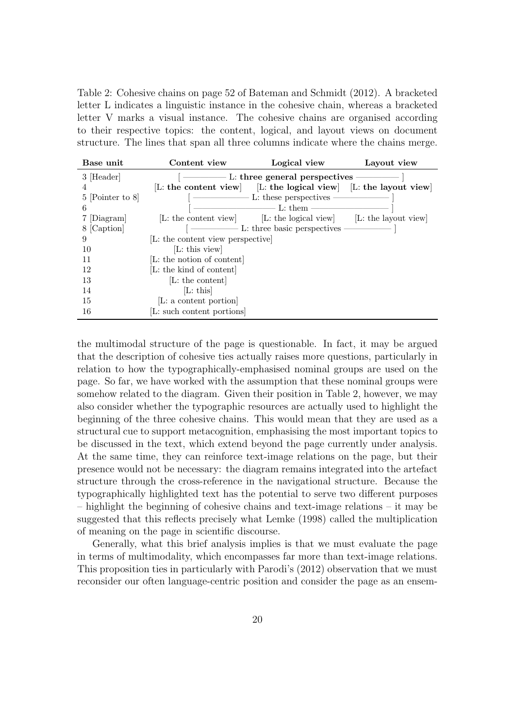Table 2: Cohesive chains on page 52 of Bateman and Schmidt (2012). A bracketed letter L indicates a linguistic instance in the cohesive chain, whereas a bracketed letter V marks a visual instance. The cohesive chains are organised according to their respective topics: the content, logical, and layout views on document structure. The lines that span all three columns indicate where the chains merge.

| Base unit      | Content view                      | Logical view                                                     | Layout view |
|----------------|-----------------------------------|------------------------------------------------------------------|-------------|
| 3 Header       |                                   |                                                                  |             |
|                |                                   | [L: the content view] [L: the logical view] [L: the layout view] |             |
| 5 Pointer to 8 |                                   | L: these perspectives                                            |             |
| b              |                                   | ———————————————————— L: them –                                   |             |
| 7   Diagram    |                                   | [L: the content view] [L: the logical view] [L: the layout view] |             |
| 8 [Caption]    |                                   | L: three basic perspectives                                      |             |
| 9              | [L: the content view perspective] |                                                                  |             |
| 10             | L: this view                      |                                                                  |             |
| 11             | L: the notion of content          |                                                                  |             |
| 12             | L: the kind of content            |                                                                  |             |
| 13             | L: the content                    |                                                                  |             |
| 14             | [L: this]                         |                                                                  |             |
| 15             | L: a content portion              |                                                                  |             |
| 16             | L: such content portions          |                                                                  |             |

the multimodal structure of the page is questionable. In fact, it may be argued that the description of cohesive ties actually raises more questions, particularly in relation to how the typographically-emphasised nominal groups are used on the page. So far, we have worked with the assumption that these nominal groups were somehow related to the diagram. Given their position in Table 2, however, we may also consider whether the typographic resources are actually used to highlight the beginning of the three cohesive chains. This would mean that they are used as a structural cue to support metacognition, emphasising the most important topics to be discussed in the text, which extend beyond the page currently under analysis. At the same time, they can reinforce text-image relations on the page, but their presence would not be necessary: the diagram remains integrated into the artefact structure through the cross-reference in the navigational structure. Because the typographically highlighted text has the potential to serve two different purposes – highlight the beginning of cohesive chains and text-image relations – it may be suggested that this reflects precisely what Lemke (1998) called the multiplication of meaning on the page in scientific discourse.

Generally, what this brief analysis implies is that we must evaluate the page in terms of multimodality, which encompasses far more than text-image relations. This proposition ties in particularly with Parodi's (2012) observation that we must reconsider our often language-centric position and consider the page as an ensem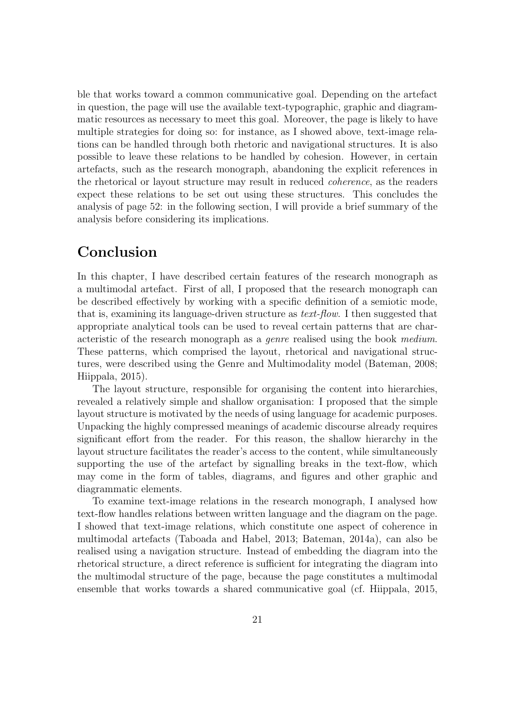ble that works toward a common communicative goal. Depending on the artefact in question, the page will use the available text-typographic, graphic and diagrammatic resources as necessary to meet this goal. Moreover, the page is likely to have multiple strategies for doing so: for instance, as I showed above, text-image relations can be handled through both rhetoric and navigational structures. It is also possible to leave these relations to be handled by cohesion. However, in certain artefacts, such as the research monograph, abandoning the explicit references in the rhetorical or layout structure may result in reduced coherence, as the readers expect these relations to be set out using these structures. This concludes the analysis of page 52: in the following section, I will provide a brief summary of the analysis before considering its implications.

# Conclusion

In this chapter, I have described certain features of the research monograph as a multimodal artefact. First of all, I proposed that the research monograph can be described effectively by working with a specific definition of a semiotic mode, that is, examining its language-driven structure as text-flow. I then suggested that appropriate analytical tools can be used to reveal certain patterns that are characteristic of the research monograph as a genre realised using the book medium. These patterns, which comprised the layout, rhetorical and navigational structures, were described using the Genre and Multimodality model (Bateman, 2008; Hiippala, 2015).

The layout structure, responsible for organising the content into hierarchies, revealed a relatively simple and shallow organisation: I proposed that the simple layout structure is motivated by the needs of using language for academic purposes. Unpacking the highly compressed meanings of academic discourse already requires significant effort from the reader. For this reason, the shallow hierarchy in the layout structure facilitates the reader's access to the content, while simultaneously supporting the use of the artefact by signalling breaks in the text-flow, which may come in the form of tables, diagrams, and figures and other graphic and diagrammatic elements.

To examine text-image relations in the research monograph, I analysed how text-flow handles relations between written language and the diagram on the page. I showed that text-image relations, which constitute one aspect of coherence in multimodal artefacts (Taboada and Habel, 2013; Bateman, 2014a), can also be realised using a navigation structure. Instead of embedding the diagram into the rhetorical structure, a direct reference is sufficient for integrating the diagram into the multimodal structure of the page, because the page constitutes a multimodal ensemble that works towards a shared communicative goal (cf. Hiippala, 2015,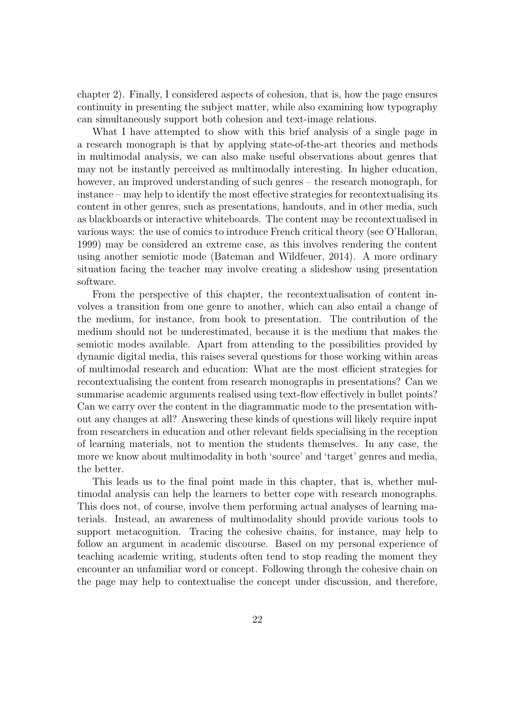chapter 2). Finally, I considered aspects of cohesion, that is, how the page ensures continuity in presenting the subject matter, while also examining how typography can simultaneously support both cohesion and text-image relations.

What I have attempted to show with this brief analysis of a single page in a research monograph is that by applying state-of-the-art theories and methods in multimodal analysis, we can also make useful observations about genres that may not be instantly perceived as multimodally interesting. In higher education, however, an improved understanding of such genres – the research monograph, for instance – may help to identify the most effective strategies for recontextualising its content in other genres, such as presentations, handouts, and in other media, such as blackboards or interactive whiteboards. The content may be recontextualised in various ways: the use of comics to introduce French critical theory (see O'Halloran, 1999) may be considered an extreme case, as this involves rendering the content using another semiotic mode (Bateman and Wildfeuer, 2014). A more ordinary situation facing the teacher may involve creating a slideshow using presentation software.

From the perspective of this chapter, the recontextualisation of content involves a transition from one genre to another, which can also entail a change of the medium, for instance, from book to presentation. The contribution of the medium should not be underestimated, because it is the medium that makes the semiotic modes available. Apart from attending to the possibilities provided by dynamic digital media, this raises several questions for those working within areas of multimodal research and education: What are the most efficient strategies for recontextualising the content from research monographs in presentations? Can we summarise academic arguments realised using text-flow effectively in bullet points? Can we carry over the content in the diagrammatic mode to the presentation without any changes at all? Answering these kinds of questions will likely require input from researchers in education and other relevant fields specialising in the reception of learning materials, not to mention the students themselves. In any case, the more we know about multimodality in both 'source' and 'target' genres and media, the better.

This leads us to the final point made in this chapter, that is, whether multimodal analysis can help the learners to better cope with research monographs. This does not, of course, involve them performing actual analyses of learning materials. Instead, an awareness of multimodality should provide various tools to support metacognition. Tracing the cohesive chains, for instance, may help to follow an argument in academic discourse. Based on my personal experience of teaching academic writing, students often tend to stop reading the moment they encounter an unfamiliar word or concept. Following through the cohesive chain on the page may help to contextualise the concept under discussion, and therefore,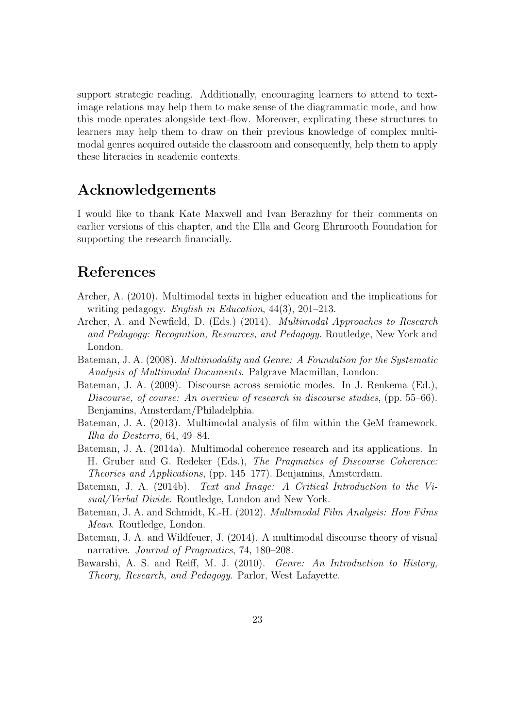support strategic reading. Additionally, encouraging learners to attend to textimage relations may help them to make sense of the diagrammatic mode, and how this mode operates alongside text-flow. Moreover, explicating these structures to learners may help them to draw on their previous knowledge of complex multimodal genres acquired outside the classroom and consequently, help them to apply these literacies in academic contexts.

### Acknowledgements

I would like to thank Kate Maxwell and Ivan Berazhny for their comments on earlier versions of this chapter, and the Ella and Georg Ehrnrooth Foundation for supporting the research financially.

# References

- Archer, A. (2010). Multimodal texts in higher education and the implications for writing pedagogy. *English in Education*, 44(3), 201–213.
- Archer, A. and Newfield, D. (Eds.) (2014). Multimodal Approaches to Research and Pedagogy: Recognition, Resources, and Pedagogy. Routledge, New York and London.
- Bateman, J. A. (2008). Multimodality and Genre: A Foundation for the Systematic Analysis of Multimodal Documents. Palgrave Macmillan, London.
- Bateman, J. A. (2009). Discourse across semiotic modes. In J. Renkema (Ed.), Discourse, of course: An overview of research in discourse studies, (pp. 55–66). Benjamins, Amsterdam/Philadelphia.
- Bateman, J. A. (2013). Multimodal analysis of film within the GeM framework. Ilha do Desterro, 64, 49–84.
- Bateman, J. A. (2014a). Multimodal coherence research and its applications. In H. Gruber and G. Redeker (Eds.), The Pragmatics of Discourse Coherence: Theories and Applications, (pp. 145–177). Benjamins, Amsterdam.
- Bateman, J. A. (2014b). Text and Image: A Critical Introduction to the Visual/Verbal Divide. Routledge, London and New York.
- Bateman, J. A. and Schmidt, K.-H. (2012). Multimodal Film Analysis: How Films Mean. Routledge, London.
- Bateman, J. A. and Wildfeuer, J. (2014). A multimodal discourse theory of visual narrative. *Journal of Pragmatics*, 74, 180–208.
- Bawarshi, A. S. and Reiff, M. J. (2010). Genre: An Introduction to History, Theory, Research, and Pedagogy. Parlor, West Lafayette.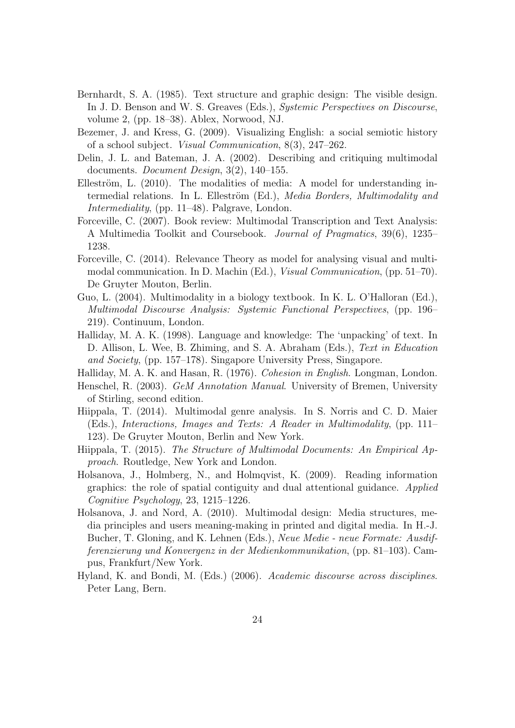- Bernhardt, S. A. (1985). Text structure and graphic design: The visible design. In J. D. Benson and W. S. Greaves (Eds.), *Systemic Perspectives on Discourse*, volume 2, (pp. 18–38). Ablex, Norwood, NJ.
- Bezemer, J. and Kress, G. (2009). Visualizing English: a social semiotic history of a school subject. Visual Communication, 8(3), 247–262.
- Delin, J. L. and Bateman, J. A. (2002). Describing and critiquing multimodal documents. Document Design, 3(2), 140–155.
- Elleström, L.  $(2010)$ . The modalities of media: A model for understanding intermedial relations. In L. Elleström (Ed.), *Media Borders, Multimodality and* Intermediality, (pp. 11–48). Palgrave, London.
- Forceville, C. (2007). Book review: Multimodal Transcription and Text Analysis: A Multimedia Toolkit and Coursebook. Journal of Pragmatics, 39(6), 1235– 1238.
- Forceville, C. (2014). Relevance Theory as model for analysing visual and multimodal communication. In D. Machin (Ed.), Visual Communication, (pp. 51–70). De Gruyter Mouton, Berlin.
- Guo, L. (2004). Multimodality in a biology textbook. In K. L. O'Halloran (Ed.), Multimodal Discourse Analysis: Systemic Functional Perspectives, (pp. 196– 219). Continuum, London.
- Halliday, M. A. K. (1998). Language and knowledge: The 'unpacking' of text. In D. Allison, L. Wee, B. Zhiming, and S. A. Abraham (Eds.), Text in Education and Society, (pp. 157–178). Singapore University Press, Singapore.
- Halliday, M. A. K. and Hasan, R. (1976). Cohesion in English. Longman, London.
- Henschel, R. (2003). GeM Annotation Manual. University of Bremen, University of Stirling, second edition.
- Hiippala, T. (2014). Multimodal genre analysis. In S. Norris and C. D. Maier (Eds.), Interactions, Images and Texts: A Reader in Multimodality, (pp. 111– 123). De Gruyter Mouton, Berlin and New York.
- Hiippala, T. (2015). The Structure of Multimodal Documents: An Empirical Approach. Routledge, New York and London.
- Holsanova, J., Holmberg, N., and Holmqvist, K. (2009). Reading information graphics: the role of spatial contiguity and dual attentional guidance. Applied Cognitive Psychology, 23, 1215–1226.
- Holsanova, J. and Nord, A. (2010). Multimodal design: Media structures, media principles and users meaning-making in printed and digital media. In H.-J. Bucher, T. Gloning, and K. Lehnen (Eds.), *Neue Medie - neue Formate: Ausdif*ferenzierung und Konvergenz in der Medienkommunikation, (pp. 81–103). Campus, Frankfurt/New York.
- Hyland, K. and Bondi, M. (Eds.) (2006). Academic discourse across disciplines. Peter Lang, Bern.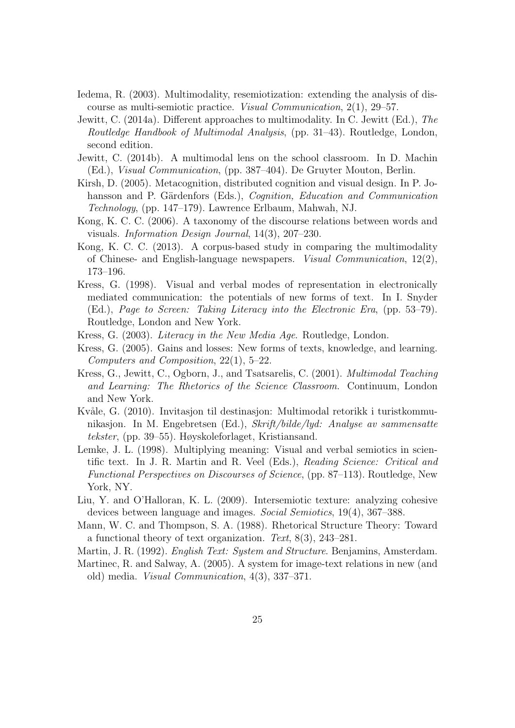- Iedema, R. (2003). Multimodality, resemiotization: extending the analysis of discourse as multi-semiotic practice. Visual Communication, 2(1), 29–57.
- Jewitt, C. (2014a). Different approaches to multimodality. In C. Jewitt (Ed.), The Routledge Handbook of Multimodal Analysis, (pp. 31–43). Routledge, London, second edition.
- Jewitt, C. (2014b). A multimodal lens on the school classroom. In D. Machin (Ed.), Visual Communication, (pp. 387–404). De Gruyter Mouton, Berlin.
- Kirsh, D. (2005). Metacognition, distributed cognition and visual design. In P. Johansson and P. Gärdenfors (Eds.), Cognition, Education and Communication Technology, (pp. 147–179). Lawrence Erlbaum, Mahwah, NJ.
- Kong, K. C. C. (2006). A taxonomy of the discourse relations between words and visuals. Information Design Journal, 14(3), 207–230.
- Kong, K. C. C. (2013). A corpus-based study in comparing the multimodality of Chinese- and English-language newspapers. Visual Communication, 12(2), 173–196.
- Kress, G. (1998). Visual and verbal modes of representation in electronically mediated communication: the potentials of new forms of text. In I. Snyder (Ed.), Page to Screen: Taking Literacy into the Electronic Era, (pp. 53–79). Routledge, London and New York.
- Kress, G. (2003). Literacy in the New Media Age. Routledge, London.
- Kress, G. (2005). Gains and losses: New forms of texts, knowledge, and learning. Computers and Composition, 22(1), 5–22.
- Kress, G., Jewitt, C., Ogborn, J., and Tsatsarelis, C. (2001). Multimodal Teaching and Learning: The Rhetorics of the Science Classroom. Continuum, London and New York.
- Kvåle, G. (2010). Invitasjon til destinasjon: Multimodal retorikk i turistkommunikasjon. In M. Engebretsen (Ed.), *Skrift/bilde/lyd: Analyse av sammensatte* tekster, (pp. 39–55). Høyskoleforlaget, Kristiansand.
- Lemke, J. L. (1998). Multiplying meaning: Visual and verbal semiotics in scientific text. In J. R. Martin and R. Veel (Eds.), Reading Science: Critical and Functional Perspectives on Discourses of Science, (pp. 87–113). Routledge, New York, NY.
- Liu, Y. and O'Halloran, K. L. (2009). Intersemiotic texture: analyzing cohesive devices between language and images. Social Semiotics, 19(4), 367–388.
- Mann, W. C. and Thompson, S. A. (1988). Rhetorical Structure Theory: Toward a functional theory of text organization. Text, 8(3), 243–281.
- Martin, J. R. (1992). English Text: System and Structure. Benjamins, Amsterdam.
- Martinec, R. and Salway, A. (2005). A system for image-text relations in new (and old) media. Visual Communication, 4(3), 337–371.